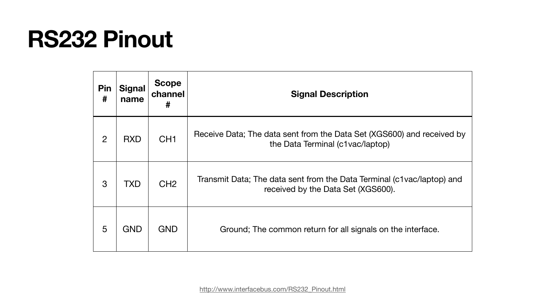### **RS232 Pinout**

| Pin<br>#       | <b>Signal</b><br>name | <b>Scope</b><br>channel<br># |                      |
|----------------|-----------------------|------------------------------|----------------------|
| $\overline{2}$ | <b>RXD</b>            | CH <sub>1</sub>              | Receive Data;        |
| 3              | <b>TXD</b>            | CH <sub>2</sub>              | <b>Transmit Data</b> |
| 5              | <b>GND</b>            | <b>GND</b>                   | Ground               |

### **Signal Description**

The data sent from the Data Set (XGS600) and received by the Data Terminal (c1vac/laptop)

a; The data sent from the Data Terminal (c1vac/laptop) and received by the Data Set (XGS600).

I; The common return for all signals on the interface.

[http://www.interfacebus.com/RS232\\_Pinout.html](http://www.interfacebus.com/RS232_Pinout.html)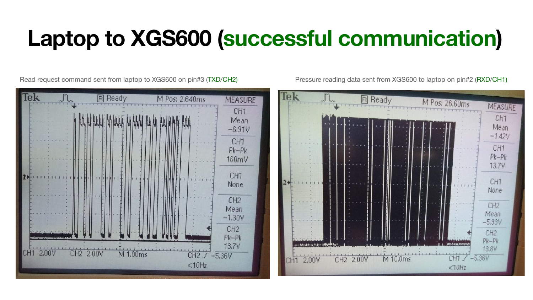### **Laptop to XGS600 (successful communication)**

Read request command sent from laptop to XGS600 on pin#3 (TXD/CH2) Pressure reading data sent from XGS600 to laptop on pin#2 (RXD/CH1)



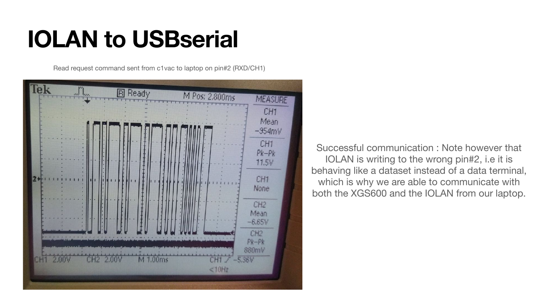## **IOLAN to USBserial**

Read request command sent from c1vac to laptop on pin#2 (RXD/CH1)



Successful communication : Note however that IOLAN is writing to the wrong pin#2, i.e it is behaving like a dataset instead of a data terminal, which is why we are able to communicate with both the XGS600 and the IOLAN from our laptop.